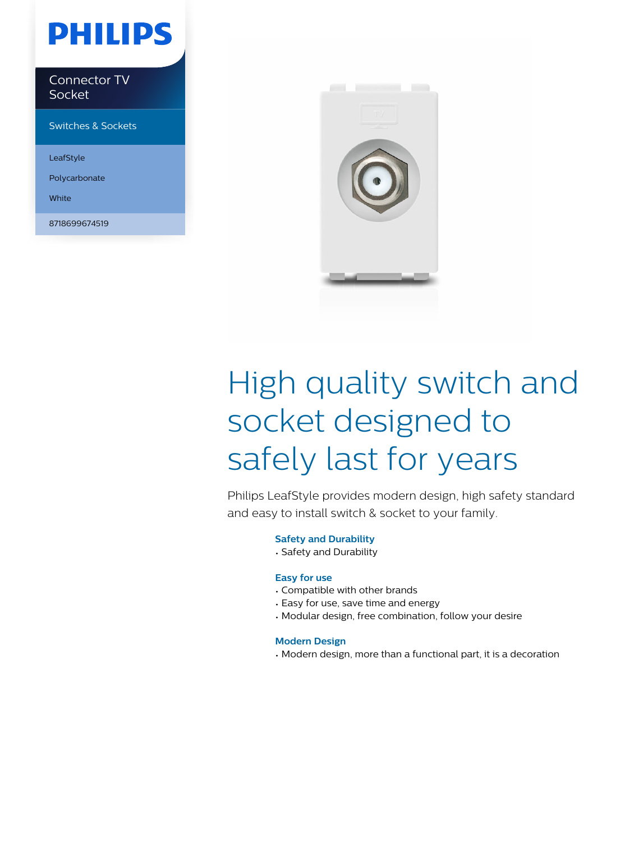## **PHILIPS**

Connector TV Socket

Switches & Sockets

LeafStyle

Polycarbonate

White

8718699674519



# High quality switch and socket designed to safely last for years

Philips LeafStyle provides modern design, high safety standard and easy to install switch & socket to your family.

#### **Safety and Durability**

• Safety and Durability

#### **Easy for use**

- Compatible with other brands
- Easy for use, save time and energy
- Modular design, free combination, follow your desire

#### **Modern Design**

• Modern design, more than a functional part, it is a decoration